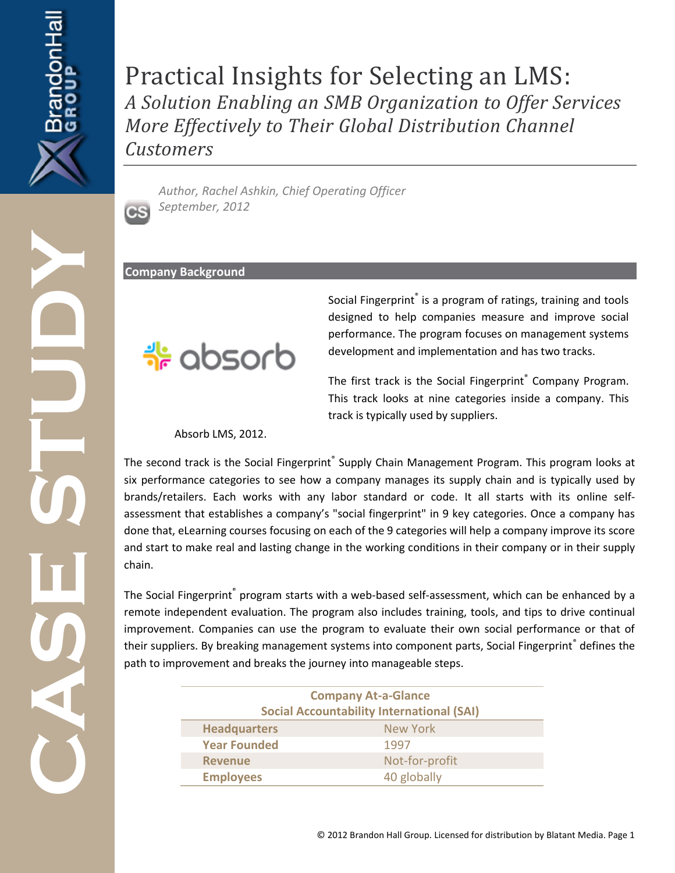# Practical Insights for Selecting an LMS: *A Solution Enabling an SMB Organization to Offer Services More Effectively to Their Global Distribution Channel Customers*

*Author, Rachel Ashkin, Chief Operating Officer September, 2012*

**Company Background** 

 $C S$ 



Social Fingerprint® is a program of ratings, training and tools designed to help companies measure and improve social performance. The program focuses on management systems development and implementation and has two tracks.

The first track is the Social Fingerprint® Company Program. This track looks at nine categories inside a company. This track is typically used by suppliers.

Absorb LMS, 2012.

**CASE STUDY** The second track is the Social Fingerprint® Supply Chain Management Program. This program looks at six performance categories to see how a company manages its supply chain and is typically used by brands/retailers. Each works with any labor standard or code. It all starts with its online selfassessment that establishes a company's "social fingerprint" in 9 key categories. Once a company has done that, eLearning courses focusing on each of the 9 categories will help a company improve its score and start to make real and lasting change in the working conditions in their company or in their supply chain.

The Social Fingerprint® program starts with a web-based self-assessment, which can be enhanced by a remote independent evaluation. The program also includes training, tools, and tips to drive continual improvement. Companies can use the program to evaluate their own social performance or that of their suppliers. By breaking management systems into component parts, Social Fingerprint<sup>®</sup> defines the path to improvement and breaks the journey into manageable steps.

| <b>Company At-a-Glance</b><br><b>Social Accountability International (SAI)</b> |                |  |
|--------------------------------------------------------------------------------|----------------|--|
| <b>Headquarters</b>                                                            | New York       |  |
| <b>Year Founded</b>                                                            | 1997           |  |
| <b>Revenue</b>                                                                 | Not-for-profit |  |
| <b>Employees</b>                                                               | 40 globally    |  |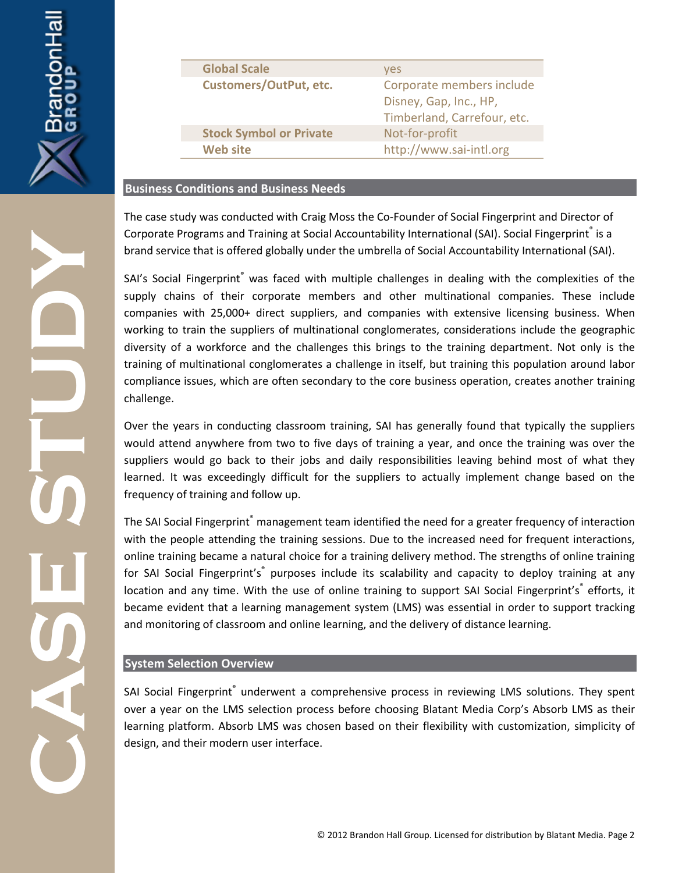

| <b>Global Scale</b>            | <b>ves</b>                                                                         |
|--------------------------------|------------------------------------------------------------------------------------|
| <b>Customers/OutPut, etc.</b>  | Corporate members include<br>Disney, Gap, Inc., HP,<br>Timberland, Carrefour, etc. |
| <b>Stock Symbol or Private</b> | Not-for-profit                                                                     |
| <b>Web site</b>                | http://www.sai-intl.org                                                            |

#### **Business Conditions and Business Needs**

The case study was conducted with Craig Moss the Co-Founder of Social Fingerprint and Director of Corporate Programs and Training at Social Accountability International (SAI). Social Fingerprint<sup>®</sup> is a brand service that is offered globally under the umbrella of Social Accountability International (SAI).

SAI's Social Fingerprint® was faced with multiple challenges in dealing with the complexities of the supply chains of their corporate members and other multinational companies. These include companies with 25,000+ direct suppliers, and companies with extensive licensing business. When working to train the suppliers of multinational conglomerates, considerations include the geographic diversity of a workforce and the challenges this brings to the training department. Not only is the training of multinational conglomerates a challenge in itself, but training this population around labor compliance issues, which are often secondary to the core business operation, creates another training challenge.

Over the years in conducting classroom training, SAI has generally found that typically the suppliers would attend anywhere from two to five days of training a year, and once the training was over the suppliers would go back to their jobs and daily responsibilities leaving behind most of what they learned. It was exceedingly difficult for the suppliers to actually implement change based on the frequency of training and follow up.

The SAI Social Fingerprint® management team identified the need for a greater frequency of interaction with the people attending the training sessions. Due to the increased need for frequent interactions, online training became a natural choice for a training delivery method. The strengths of online training for SAI Social Fingerprint's<sup>®</sup> purposes include its scalability and capacity to deploy training at any location and any time. With the use of online training to support SAI Social Fingerprint's<sup>®</sup> efforts, it became evident that a learning management system (LMS) was essential in order to support tracking and monitoring of classroom and online learning, and the delivery of distance learning.

#### **System Selection Overview**

SAI Social Fingerprint<sup>®</sup> underwent a comprehensive process in reviewing LMS solutions. They spent over a year on the LMS selection process before choosing Blatant Media Corp's Absorb LMS as their learning platform. Absorb LMS was chosen based on their flexibility with customization, simplicity of design, and their modern user interface.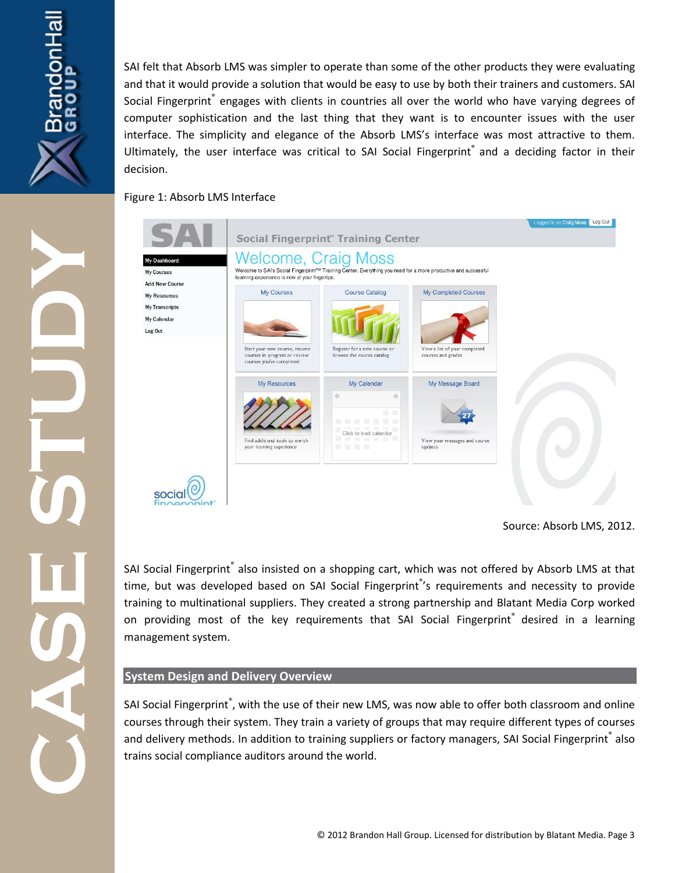

SAI felt that Absorb LMS was simpler to operate than some of the other products they were evaluating and that it would provide a solution that would be easy to use by both their trainers and customers. SAI Social Fingerprint® engages with clients in countries all over the world who have varying degrees of computer sophistication and the last thing that they want is to encounter issues with the user interface. The simplicity and elegance of the Absorb LMS's interface was most attractive to them. Ultimately, the user interface was critical to SAI Social Fingerprint® and a deciding factor in their decision.

Figure 1: Absorb LMS Interface



Source: Absorb LMS, 2012.

**CASE STUDY** SAI Social Fingerprint® also insisted on a shopping cart, which was not offered by Absorb LMS at that time, but was developed based on SAI Social Fingerprint<sup>®</sup>'s requirements and necessity to provide training to multinational suppliers. They created a strong partnership and Blatant Media Corp worked on providing most of the key requirements that SAI Social Fingerprint® desired in a learning management system.

### **System Design and Delivery Overview**

SAI Social Fingerprint<sup>®</sup>, with the use of their new LMS, was now able to offer both classroom and online courses through their system. They train a variety of groups that may require different types of courses and delivery methods. In addition to training suppliers or factory managers, SAI Social Fingerprint® also trains social compliance auditors around the world.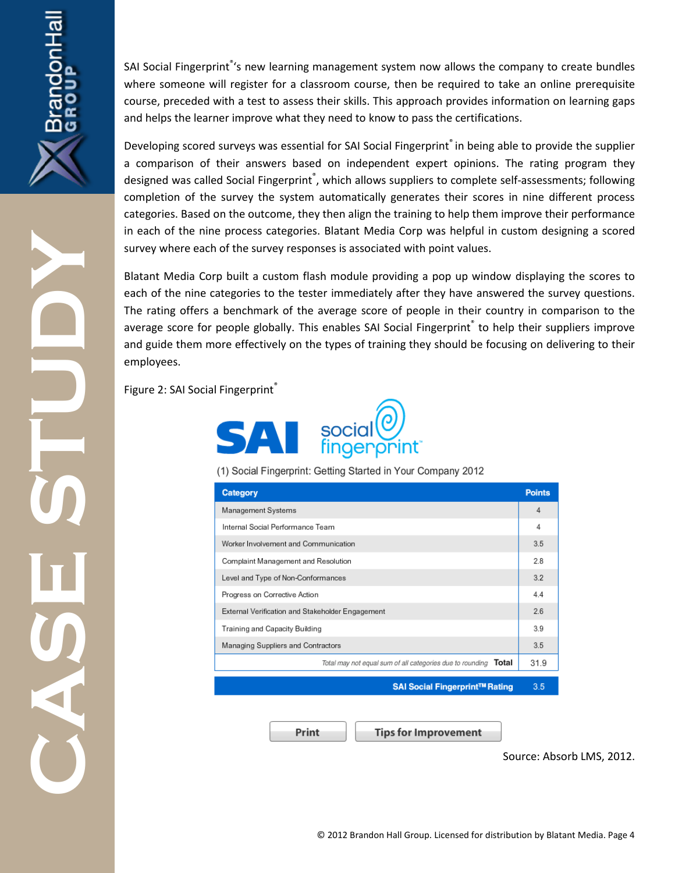SAI Social Fingerprint<sup>®</sup>'s new learning management system now allows the company to create bundles where someone will register for a classroom course, then be required to take an online prerequisite course, preceded with a test to assess their skills. This approach provides information on learning gaps and helps the learner improve what they need to know to pass the certifications.

Developing scored surveys was essential for SAI Social Fingerprint<sup>®</sup> in being able to provide the supplier a comparison of their answers based on independent expert opinions. The rating program they designed was called Social Fingerprint®, which allows suppliers to complete self-assessments; following completion of the survey the system automatically generates their scores in nine different process categories. Based on the outcome, they then align the training to help them improve their performance in each of the nine process categories. Blatant Media Corp was helpful in custom designing a scored survey where each of the survey responses is associated with point values.

**CASE STUDY** Blatant Media Corp built a custom flash module providing a pop up window displaying the scores to each of the nine categories to the tester immediately after they have answered the survey questions. The rating offers a benchmark of the average score of people in their country in comparison to the average score for people globally. This enables SAI Social Fingerprint® to help their suppliers improve and guide them more effectively on the types of training they should be focusing on delivering to their employees.

Figure 2: SAI Social Fingerprint®



(1) Social Fingerprint: Getting Started in Your Company 2012

| Category                                                               |      |
|------------------------------------------------------------------------|------|
| Management Systems                                                     |      |
| Internal Social Performance Team                                       |      |
| Worker Involvement and Communication                                   |      |
| Complaint Management and Resolution                                    |      |
| Level and Type of Non-Conformances                                     |      |
| Progress on Corrective Action                                          |      |
| External Verification and Stakeholder Engagement                       |      |
| Training and Capacity Building                                         |      |
| Managing Suppliers and Contractors                                     |      |
| Total may not equal sum of all categories due to rounding <b>Total</b> | 31.9 |
| SAI Social Fingerprint™ Rating                                         | 3.5  |

Print

**Tips for Improvement** 

Source: Absorb LMS, 2012.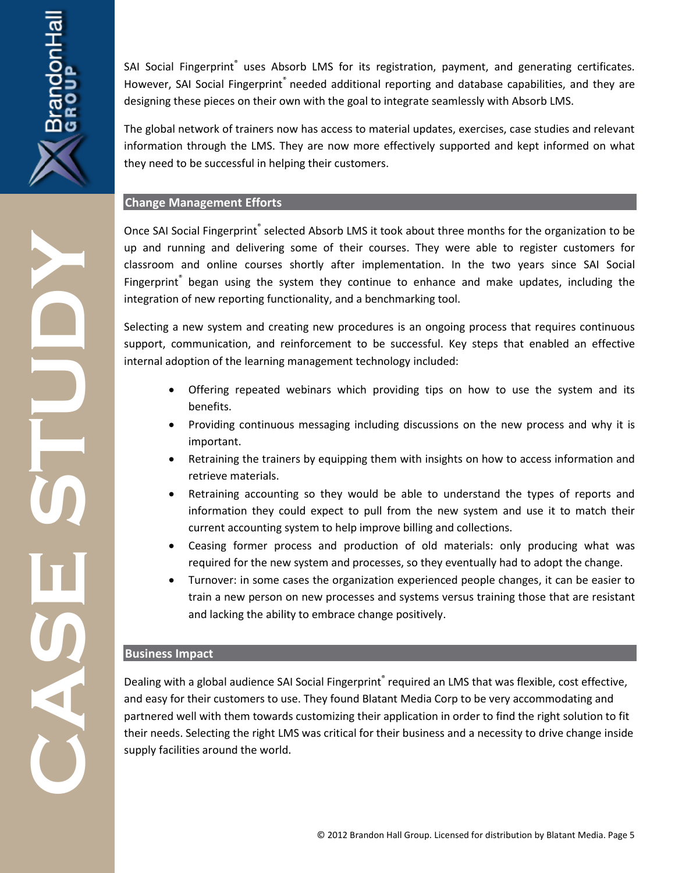SAI Social Fingerprint<sup>®</sup> uses Absorb LMS for its registration, payment, and generating certificates. However, SAI Social Fingerprint® needed additional reporting and database capabilities, and they are designing these pieces on their own with the goal to integrate seamlessly with Absorb LMS.

The global network of trainers now has access to material updates, exercises, case studies and relevant information through the LMS. They are now more effectively supported and kept informed on what they need to be successful in helping their customers.

#### **Change Management Efforts**

Once SAI Social Fingerprint® selected Absorb LMS it took about three months for the organization to be up and running and delivering some of their courses. They were able to register customers for classroom and online courses shortly after implementation. In the two years since SAI Social Fingerprint<sup>®</sup> began using the system they continue to enhance and make updates, including the integration of new reporting functionality, and a benchmarking tool.

Selecting a new system and creating new procedures is an ongoing process that requires continuous support, communication, and reinforcement to be successful. Key steps that enabled an effective internal adoption of the learning management technology included:

- Offering repeated webinars which providing tips on how to use the system and its benefits.
- Providing continuous messaging including discussions on the new process and why it is important.
- Retraining the trainers by equipping them with insights on how to access information and retrieve materials.
- Retraining accounting so they would be able to understand the types of reports and information they could expect to pull from the new system and use it to match their current accounting system to help improve billing and collections.
- Ceasing former process and production of old materials: only producing what was required for the new system and processes, so they eventually had to adopt the change.
- Turnover: in some cases the organization experienced people changes, it can be easier to train a new person on new processes and systems versus training those that are resistant and lacking the ability to embrace change positively.

#### **Business Impact**

**CASE STUDY** Dealing with a global audience SAI Social Fingerprint® required an LMS that was flexible, cost effective, and easy for their customers to use. They found Blatant Media Corp to be very accommodating and partnered well with them towards customizing their application in order to find the right solution to fit their needs. Selecting the right LMS was critical for their business and a necessity to drive change inside supply facilities around the world.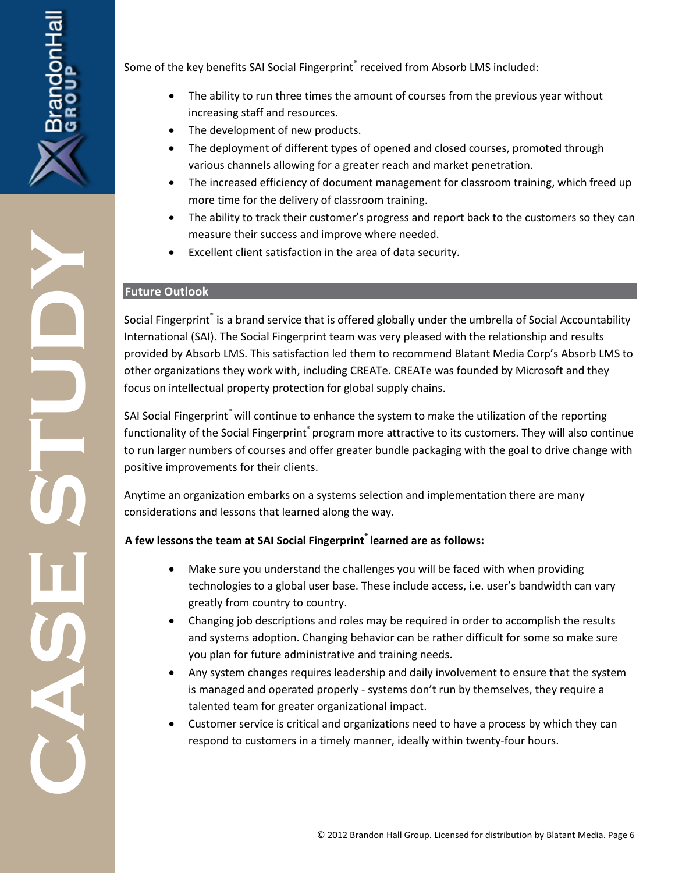

Some of the key benefits SAI Social Fingerprint<sup>®</sup> received from Absorb LMS included:

- The ability to run three times the amount of courses from the previous year without increasing staff and resources.
- The development of new products.
- The deployment of different types of opened and closed courses, promoted through various channels allowing for a greater reach and market penetration.
- The increased efficiency of document management for classroom training, which freed up more time for the delivery of classroom training.
- The ability to track their customer's progress and report back to the customers so they can measure their success and improve where needed.
- Excellent client satisfaction in the area of data security.

#### **Future Outlook**

Social Fingerprint® is a brand service that is offered globally under the umbrella of Social Accountability International (SAI). The Social Fingerprint team was very pleased with the relationship and results provided by Absorb LMS. This satisfaction led them to recommend Blatant Media Corp's Absorb LMS to other organizations they work with, including CREATe. CREATe was founded by Microsoft and they focus on intellectual property protection for global supply chains.

SAI Social Fingerprint® will continue to enhance the system to make the utilization of the reporting functionality of the Social Fingerprint® program more attractive to its customers. They will also continue to run larger numbers of courses and offer greater bundle packaging with the goal to drive change with positive improvements for their clients.

Anytime an organization embarks on a systems selection and implementation there are many considerations and lessons that learned along the way.

## **A few lessons the team at SAI Social Fingerprint® learned are as follows:**

- Make sure you understand the challenges you will be faced with when providing technologies to a global user base. These include access, i.e. user's bandwidth can vary greatly from country to country.
- Changing job descriptions and roles may be required in order to accomplish the results and systems adoption. Changing behavior can be rather difficult for some so make sure you plan for future administrative and training needs.
- Any system changes requires leadership and daily involvement to ensure that the system is managed and operated properly - systems don't run by themselves, they require a talented team for greater organizational impact.
- Customer service is critical and organizations need to have a process by which they can respond to customers in a timely manner, ideally within twenty-four hours.